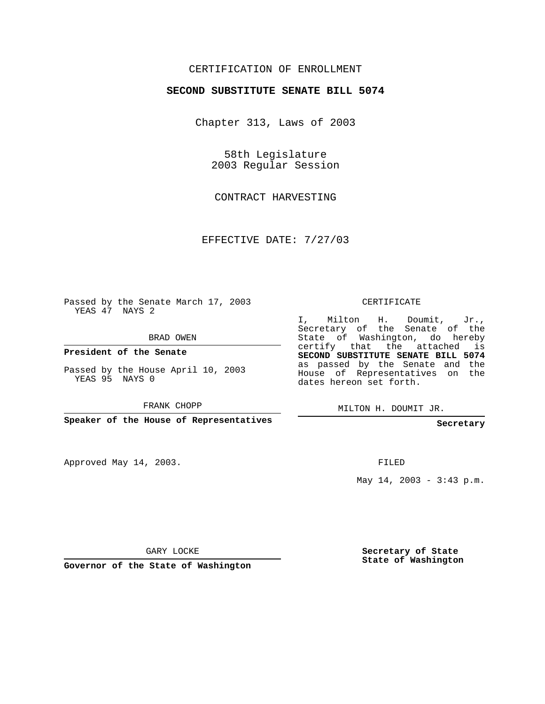## CERTIFICATION OF ENROLLMENT

#### **SECOND SUBSTITUTE SENATE BILL 5074**

Chapter 313, Laws of 2003

58th Legislature 2003 Regular Session

CONTRACT HARVESTING

EFFECTIVE DATE: 7/27/03

Passed by the Senate March 17, 2003 YEAS 47 NAYS 2

BRAD OWEN

**President of the Senate**

Passed by the House April 10, 2003 YEAS 95 NAYS 0

FRANK CHOPP

**Speaker of the House of Representatives**

Approved May 14, 2003.

CERTIFICATE

I, Milton H. Doumit, Jr., Secretary of the Senate of the State of Washington, do hereby certify that the attached is **SECOND SUBSTITUTE SENATE BILL 5074** as passed by the Senate and the House of Representatives on the dates hereon set forth.

MILTON H. DOUMIT JR.

**Secretary**

FILED

May  $14$ ,  $2003 - 3:43$  p.m.

GARY LOCKE

**Governor of the State of Washington**

**Secretary of State State of Washington**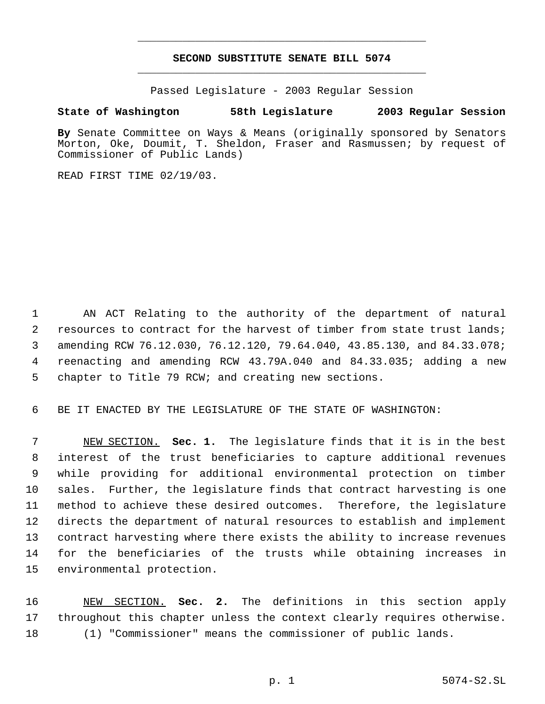# **SECOND SUBSTITUTE SENATE BILL 5074** \_\_\_\_\_\_\_\_\_\_\_\_\_\_\_\_\_\_\_\_\_\_\_\_\_\_\_\_\_\_\_\_\_\_\_\_\_\_\_\_\_\_\_\_\_

\_\_\_\_\_\_\_\_\_\_\_\_\_\_\_\_\_\_\_\_\_\_\_\_\_\_\_\_\_\_\_\_\_\_\_\_\_\_\_\_\_\_\_\_\_

Passed Legislature - 2003 Regular Session

### **State of Washington 58th Legislature 2003 Regular Session**

**By** Senate Committee on Ways & Means (originally sponsored by Senators Morton, Oke, Doumit, T. Sheldon, Fraser and Rasmussen; by request of Commissioner of Public Lands)

READ FIRST TIME 02/19/03.

 AN ACT Relating to the authority of the department of natural resources to contract for the harvest of timber from state trust lands; amending RCW 76.12.030, 76.12.120, 79.64.040, 43.85.130, and 84.33.078; reenacting and amending RCW 43.79A.040 and 84.33.035; adding a new chapter to Title 79 RCW; and creating new sections.

BE IT ENACTED BY THE LEGISLATURE OF THE STATE OF WASHINGTON:

 NEW SECTION. **Sec. 1.** The legislature finds that it is in the best interest of the trust beneficiaries to capture additional revenues while providing for additional environmental protection on timber sales. Further, the legislature finds that contract harvesting is one method to achieve these desired outcomes. Therefore, the legislature directs the department of natural resources to establish and implement contract harvesting where there exists the ability to increase revenues for the beneficiaries of the trusts while obtaining increases in environmental protection.

 NEW SECTION. **Sec. 2.** The definitions in this section apply throughout this chapter unless the context clearly requires otherwise. (1) "Commissioner" means the commissioner of public lands.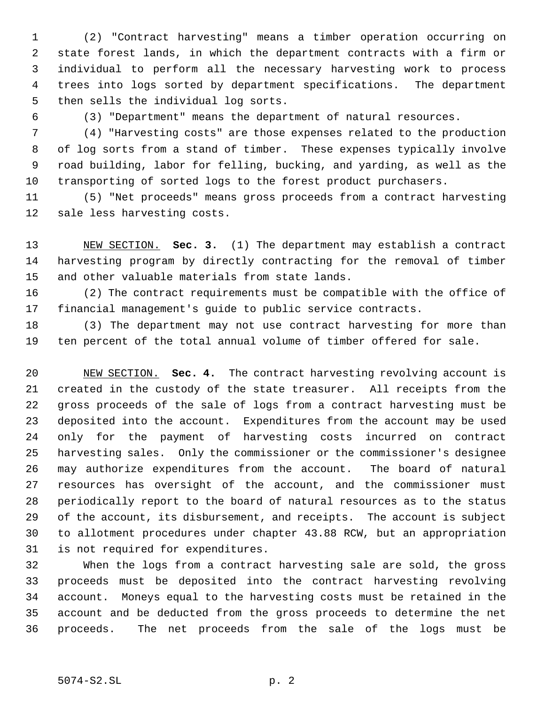(2) "Contract harvesting" means a timber operation occurring on state forest lands, in which the department contracts with a firm or individual to perform all the necessary harvesting work to process trees into logs sorted by department specifications. The department then sells the individual log sorts.

(3) "Department" means the department of natural resources.

 (4) "Harvesting costs" are those expenses related to the production of log sorts from a stand of timber. These expenses typically involve road building, labor for felling, bucking, and yarding, as well as the transporting of sorted logs to the forest product purchasers.

 (5) "Net proceeds" means gross proceeds from a contract harvesting sale less harvesting costs.

 NEW SECTION. **Sec. 3.** (1) The department may establish a contract harvesting program by directly contracting for the removal of timber and other valuable materials from state lands.

 (2) The contract requirements must be compatible with the office of financial management's guide to public service contracts.

 (3) The department may not use contract harvesting for more than ten percent of the total annual volume of timber offered for sale.

 NEW SECTION. **Sec. 4.** The contract harvesting revolving account is created in the custody of the state treasurer. All receipts from the gross proceeds of the sale of logs from a contract harvesting must be deposited into the account. Expenditures from the account may be used only for the payment of harvesting costs incurred on contract harvesting sales. Only the commissioner or the commissioner's designee may authorize expenditures from the account. The board of natural resources has oversight of the account, and the commissioner must periodically report to the board of natural resources as to the status of the account, its disbursement, and receipts. The account is subject to allotment procedures under chapter 43.88 RCW, but an appropriation is not required for expenditures.

 When the logs from a contract harvesting sale are sold, the gross proceeds must be deposited into the contract harvesting revolving account. Moneys equal to the harvesting costs must be retained in the account and be deducted from the gross proceeds to determine the net proceeds. The net proceeds from the sale of the logs must be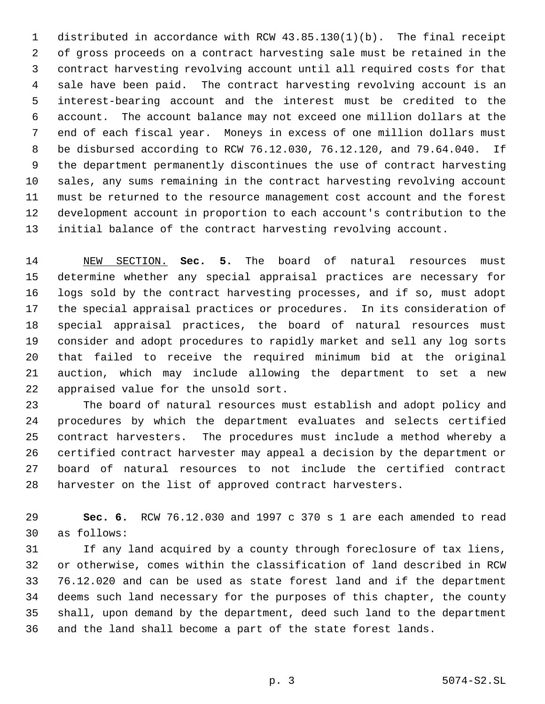distributed in accordance with RCW 43.85.130(1)(b). The final receipt of gross proceeds on a contract harvesting sale must be retained in the contract harvesting revolving account until all required costs for that sale have been paid. The contract harvesting revolving account is an interest-bearing account and the interest must be credited to the account. The account balance may not exceed one million dollars at the end of each fiscal year. Moneys in excess of one million dollars must be disbursed according to RCW 76.12.030, 76.12.120, and 79.64.040. If the department permanently discontinues the use of contract harvesting sales, any sums remaining in the contract harvesting revolving account must be returned to the resource management cost account and the forest development account in proportion to each account's contribution to the initial balance of the contract harvesting revolving account.

 NEW SECTION. **Sec. 5.** The board of natural resources must determine whether any special appraisal practices are necessary for logs sold by the contract harvesting processes, and if so, must adopt the special appraisal practices or procedures. In its consideration of special appraisal practices, the board of natural resources must consider and adopt procedures to rapidly market and sell any log sorts that failed to receive the required minimum bid at the original auction, which may include allowing the department to set a new appraised value for the unsold sort.

 The board of natural resources must establish and adopt policy and procedures by which the department evaluates and selects certified contract harvesters. The procedures must include a method whereby a certified contract harvester may appeal a decision by the department or board of natural resources to not include the certified contract harvester on the list of approved contract harvesters.

 **Sec. 6.** RCW 76.12.030 and 1997 c 370 s 1 are each amended to read as follows:

 If any land acquired by a county through foreclosure of tax liens, or otherwise, comes within the classification of land described in RCW 76.12.020 and can be used as state forest land and if the department deems such land necessary for the purposes of this chapter, the county shall, upon demand by the department, deed such land to the department and the land shall become a part of the state forest lands.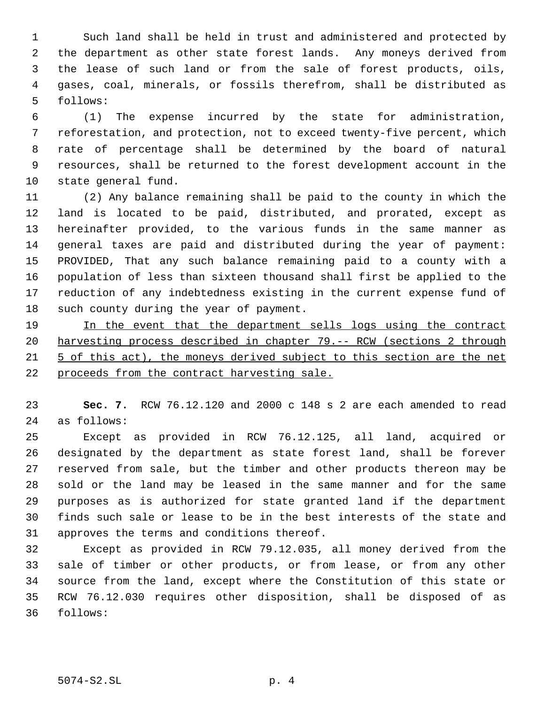Such land shall be held in trust and administered and protected by the department as other state forest lands. Any moneys derived from the lease of such land or from the sale of forest products, oils, gases, coal, minerals, or fossils therefrom, shall be distributed as follows:

 (1) The expense incurred by the state for administration, reforestation, and protection, not to exceed twenty-five percent, which rate of percentage shall be determined by the board of natural resources, shall be returned to the forest development account in the state general fund.

 (2) Any balance remaining shall be paid to the county in which the land is located to be paid, distributed, and prorated, except as hereinafter provided, to the various funds in the same manner as general taxes are paid and distributed during the year of payment: PROVIDED, That any such balance remaining paid to a county with a population of less than sixteen thousand shall first be applied to the reduction of any indebtedness existing in the current expense fund of such county during the year of payment.

 In the event that the department sells logs using the contract harvesting process described in chapter 79.-- RCW (sections 2 through 5 of this act), the moneys derived subject to this section are the net proceeds from the contract harvesting sale.

 **Sec. 7.** RCW 76.12.120 and 2000 c 148 s 2 are each amended to read as follows:

 Except as provided in RCW 76.12.125, all land, acquired or designated by the department as state forest land, shall be forever reserved from sale, but the timber and other products thereon may be sold or the land may be leased in the same manner and for the same purposes as is authorized for state granted land if the department finds such sale or lease to be in the best interests of the state and approves the terms and conditions thereof.

 Except as provided in RCW 79.12.035, all money derived from the sale of timber or other products, or from lease, or from any other source from the land, except where the Constitution of this state or RCW 76.12.030 requires other disposition, shall be disposed of as follows: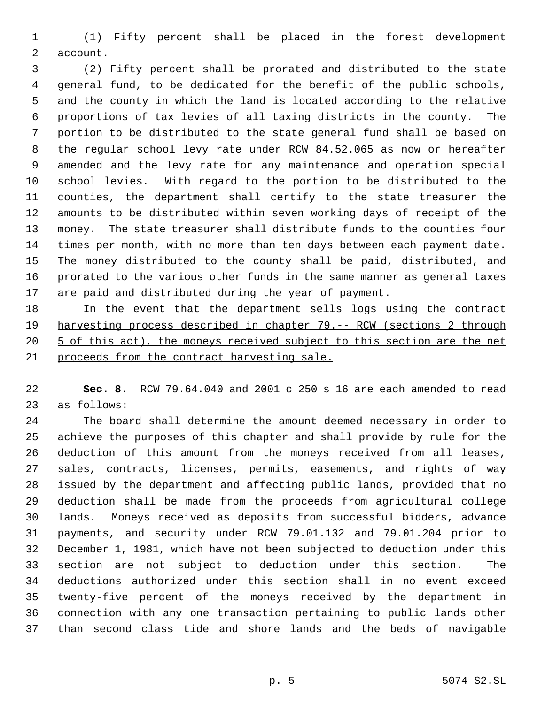(1) Fifty percent shall be placed in the forest development account.

 (2) Fifty percent shall be prorated and distributed to the state general fund, to be dedicated for the benefit of the public schools, and the county in which the land is located according to the relative proportions of tax levies of all taxing districts in the county. The portion to be distributed to the state general fund shall be based on the regular school levy rate under RCW 84.52.065 as now or hereafter amended and the levy rate for any maintenance and operation special school levies. With regard to the portion to be distributed to the counties, the department shall certify to the state treasurer the amounts to be distributed within seven working days of receipt of the money. The state treasurer shall distribute funds to the counties four times per month, with no more than ten days between each payment date. The money distributed to the county shall be paid, distributed, and prorated to the various other funds in the same manner as general taxes are paid and distributed during the year of payment.

18 In the event that the department sells logs using the contract harvesting process described in chapter 79.-- RCW (sections 2 through 20 5 of this act), the moneys received subject to this section are the net proceeds from the contract harvesting sale.

 **Sec. 8.** RCW 79.64.040 and 2001 c 250 s 16 are each amended to read as follows:

 The board shall determine the amount deemed necessary in order to achieve the purposes of this chapter and shall provide by rule for the deduction of this amount from the moneys received from all leases, sales, contracts, licenses, permits, easements, and rights of way issued by the department and affecting public lands, provided that no deduction shall be made from the proceeds from agricultural college lands. Moneys received as deposits from successful bidders, advance payments, and security under RCW 79.01.132 and 79.01.204 prior to December 1, 1981, which have not been subjected to deduction under this section are not subject to deduction under this section. The deductions authorized under this section shall in no event exceed twenty-five percent of the moneys received by the department in connection with any one transaction pertaining to public lands other than second class tide and shore lands and the beds of navigable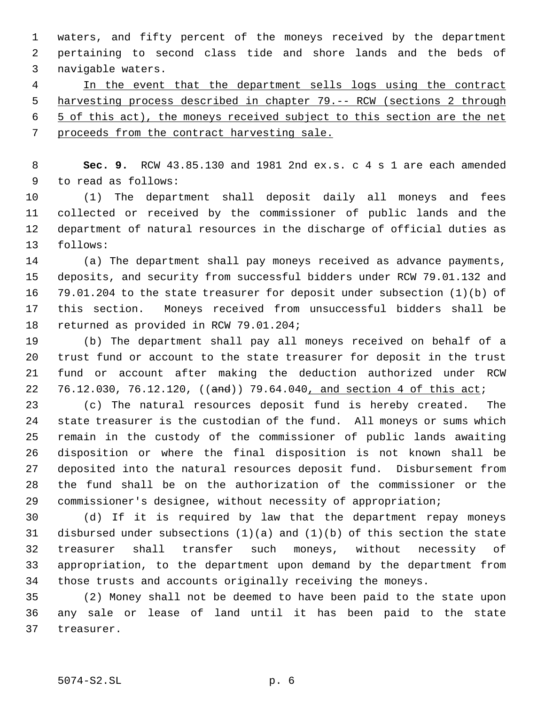waters, and fifty percent of the moneys received by the department pertaining to second class tide and shore lands and the beds of navigable waters.

4 In the event that the department sells logs using the contract harvesting process described in chapter 79.-- RCW (sections 2 through 5 of this act), the moneys received subject to this section are the net 7 proceeds from the contract harvesting sale.

 **Sec. 9.** RCW 43.85.130 and 1981 2nd ex.s. c 4 s 1 are each amended to read as follows:

 (1) The department shall deposit daily all moneys and fees collected or received by the commissioner of public lands and the department of natural resources in the discharge of official duties as follows:

 (a) The department shall pay moneys received as advance payments, deposits, and security from successful bidders under RCW 79.01.132 and 79.01.204 to the state treasurer for deposit under subsection (1)(b) of this section. Moneys received from unsuccessful bidders shall be returned as provided in RCW 79.01.204;

 (b) The department shall pay all moneys received on behalf of a trust fund or account to the state treasurer for deposit in the trust fund or account after making the deduction authorized under RCW 22 76.12.030, 76.12.120, ((and)) 79.64.040, and section 4 of this act;

 (c) The natural resources deposit fund is hereby created. The state treasurer is the custodian of the fund. All moneys or sums which remain in the custody of the commissioner of public lands awaiting disposition or where the final disposition is not known shall be deposited into the natural resources deposit fund. Disbursement from the fund shall be on the authorization of the commissioner or the commissioner's designee, without necessity of appropriation;

 (d) If it is required by law that the department repay moneys disbursed under subsections (1)(a) and (1)(b) of this section the state treasurer shall transfer such moneys, without necessity of appropriation, to the department upon demand by the department from those trusts and accounts originally receiving the moneys.

 (2) Money shall not be deemed to have been paid to the state upon any sale or lease of land until it has been paid to the state treasurer.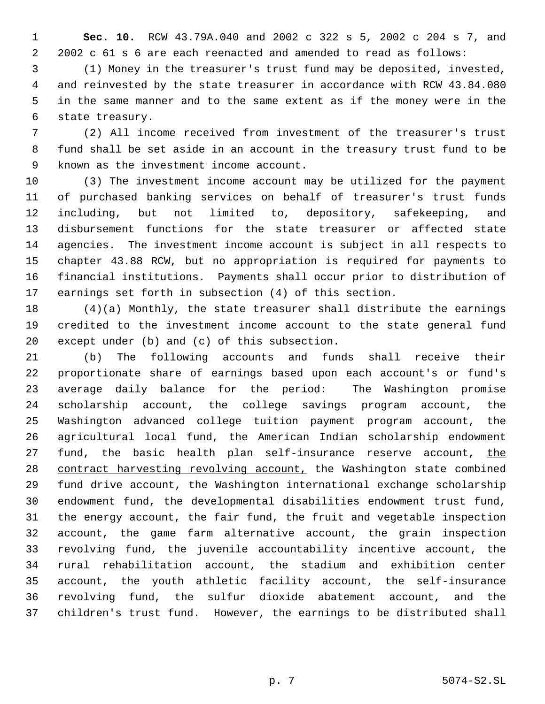**Sec. 10.** RCW 43.79A.040 and 2002 c 322 s 5, 2002 c 204 s 7, and 2002 c 61 s 6 are each reenacted and amended to read as follows:

 (1) Money in the treasurer's trust fund may be deposited, invested, and reinvested by the state treasurer in accordance with RCW 43.84.080 in the same manner and to the same extent as if the money were in the state treasury.

 (2) All income received from investment of the treasurer's trust fund shall be set aside in an account in the treasury trust fund to be known as the investment income account.

 (3) The investment income account may be utilized for the payment of purchased banking services on behalf of treasurer's trust funds including, but not limited to, depository, safekeeping, and disbursement functions for the state treasurer or affected state agencies. The investment income account is subject in all respects to chapter 43.88 RCW, but no appropriation is required for payments to financial institutions. Payments shall occur prior to distribution of earnings set forth in subsection (4) of this section.

 (4)(a) Monthly, the state treasurer shall distribute the earnings credited to the investment income account to the state general fund except under (b) and (c) of this subsection.

 (b) The following accounts and funds shall receive their proportionate share of earnings based upon each account's or fund's average daily balance for the period: The Washington promise scholarship account, the college savings program account, the Washington advanced college tuition payment program account, the agricultural local fund, the American Indian scholarship endowment 27 fund, the basic health plan self-insurance reserve account, the 28 contract harvesting revolving account, the Washington state combined fund drive account, the Washington international exchange scholarship endowment fund, the developmental disabilities endowment trust fund, the energy account, the fair fund, the fruit and vegetable inspection account, the game farm alternative account, the grain inspection revolving fund, the juvenile accountability incentive account, the rural rehabilitation account, the stadium and exhibition center account, the youth athletic facility account, the self-insurance revolving fund, the sulfur dioxide abatement account, and the children's trust fund. However, the earnings to be distributed shall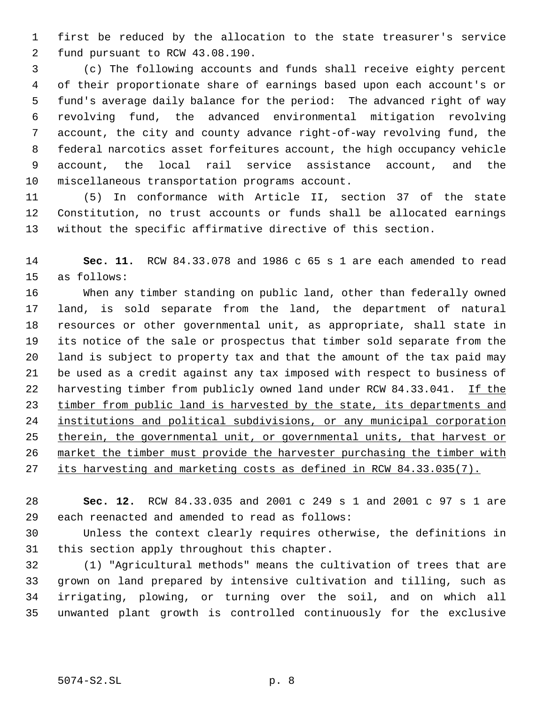first be reduced by the allocation to the state treasurer's service fund pursuant to RCW 43.08.190.

 (c) The following accounts and funds shall receive eighty percent of their proportionate share of earnings based upon each account's or fund's average daily balance for the period: The advanced right of way revolving fund, the advanced environmental mitigation revolving account, the city and county advance right-of-way revolving fund, the federal narcotics asset forfeitures account, the high occupancy vehicle account, the local rail service assistance account, and the miscellaneous transportation programs account.

 (5) In conformance with Article II, section 37 of the state Constitution, no trust accounts or funds shall be allocated earnings without the specific affirmative directive of this section.

 **Sec. 11.** RCW 84.33.078 and 1986 c 65 s 1 are each amended to read as follows:

 When any timber standing on public land, other than federally owned land, is sold separate from the land, the department of natural resources or other governmental unit, as appropriate, shall state in its notice of the sale or prospectus that timber sold separate from the land is subject to property tax and that the amount of the tax paid may be used as a credit against any tax imposed with respect to business of 22 harvesting timber from publicly owned land under RCW 84.33.041. If the 23 timber from public land is harvested by the state, its departments and institutions and political subdivisions, or any municipal corporation 25 therein, the governmental unit, or governmental units, that harvest or market the timber must provide the harvester purchasing the timber with 27 its harvesting and marketing costs as defined in RCW 84.33.035(7).

 **Sec. 12.** RCW 84.33.035 and 2001 c 249 s 1 and 2001 c 97 s 1 are each reenacted and amended to read as follows:

 Unless the context clearly requires otherwise, the definitions in this section apply throughout this chapter.

 (1) "Agricultural methods" means the cultivation of trees that are grown on land prepared by intensive cultivation and tilling, such as irrigating, plowing, or turning over the soil, and on which all unwanted plant growth is controlled continuously for the exclusive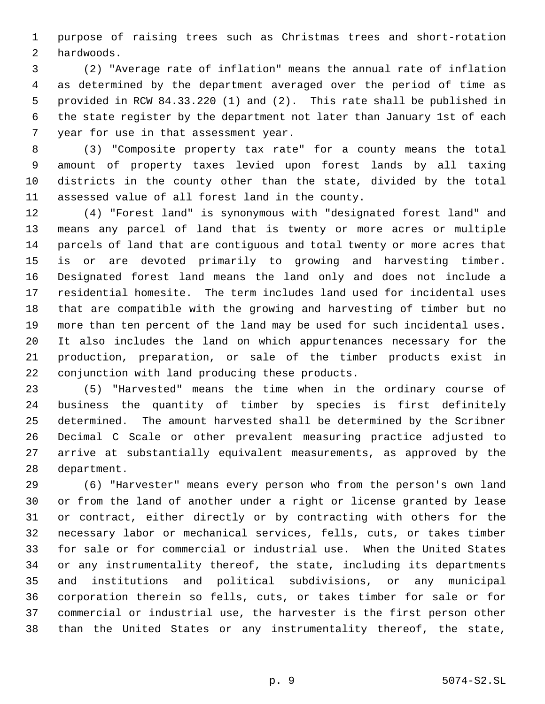purpose of raising trees such as Christmas trees and short-rotation hardwoods.

 (2) "Average rate of inflation" means the annual rate of inflation as determined by the department averaged over the period of time as provided in RCW 84.33.220 (1) and (2). This rate shall be published in the state register by the department not later than January 1st of each year for use in that assessment year.

 (3) "Composite property tax rate" for a county means the total amount of property taxes levied upon forest lands by all taxing districts in the county other than the state, divided by the total assessed value of all forest land in the county.

 (4) "Forest land" is synonymous with "designated forest land" and means any parcel of land that is twenty or more acres or multiple parcels of land that are contiguous and total twenty or more acres that is or are devoted primarily to growing and harvesting timber. Designated forest land means the land only and does not include a residential homesite. The term includes land used for incidental uses that are compatible with the growing and harvesting of timber but no more than ten percent of the land may be used for such incidental uses. It also includes the land on which appurtenances necessary for the production, preparation, or sale of the timber products exist in conjunction with land producing these products.

 (5) "Harvested" means the time when in the ordinary course of business the quantity of timber by species is first definitely determined. The amount harvested shall be determined by the Scribner Decimal C Scale or other prevalent measuring practice adjusted to arrive at substantially equivalent measurements, as approved by the department.

 (6) "Harvester" means every person who from the person's own land or from the land of another under a right or license granted by lease or contract, either directly or by contracting with others for the necessary labor or mechanical services, fells, cuts, or takes timber for sale or for commercial or industrial use. When the United States or any instrumentality thereof, the state, including its departments and institutions and political subdivisions, or any municipal corporation therein so fells, cuts, or takes timber for sale or for commercial or industrial use, the harvester is the first person other than the United States or any instrumentality thereof, the state,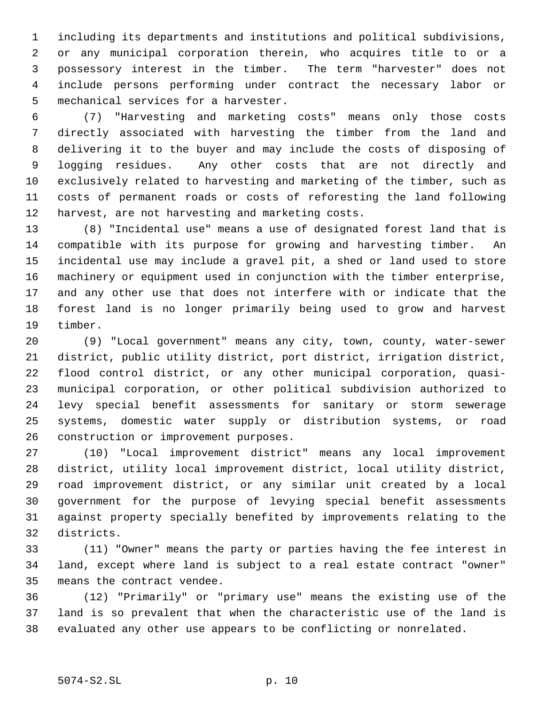including its departments and institutions and political subdivisions, or any municipal corporation therein, who acquires title to or a possessory interest in the timber. The term "harvester" does not include persons performing under contract the necessary labor or mechanical services for a harvester.

 (7) "Harvesting and marketing costs" means only those costs directly associated with harvesting the timber from the land and delivering it to the buyer and may include the costs of disposing of logging residues. Any other costs that are not directly and exclusively related to harvesting and marketing of the timber, such as costs of permanent roads or costs of reforesting the land following harvest, are not harvesting and marketing costs.

 (8) "Incidental use" means a use of designated forest land that is compatible with its purpose for growing and harvesting timber. An incidental use may include a gravel pit, a shed or land used to store machinery or equipment used in conjunction with the timber enterprise, and any other use that does not interfere with or indicate that the forest land is no longer primarily being used to grow and harvest timber.

 (9) "Local government" means any city, town, county, water-sewer district, public utility district, port district, irrigation district, flood control district, or any other municipal corporation, quasi- municipal corporation, or other political subdivision authorized to levy special benefit assessments for sanitary or storm sewerage systems, domestic water supply or distribution systems, or road construction or improvement purposes.

 (10) "Local improvement district" means any local improvement district, utility local improvement district, local utility district, road improvement district, or any similar unit created by a local government for the purpose of levying special benefit assessments against property specially benefited by improvements relating to the districts.

 (11) "Owner" means the party or parties having the fee interest in land, except where land is subject to a real estate contract "owner" means the contract vendee.

 (12) "Primarily" or "primary use" means the existing use of the land is so prevalent that when the characteristic use of the land is evaluated any other use appears to be conflicting or nonrelated.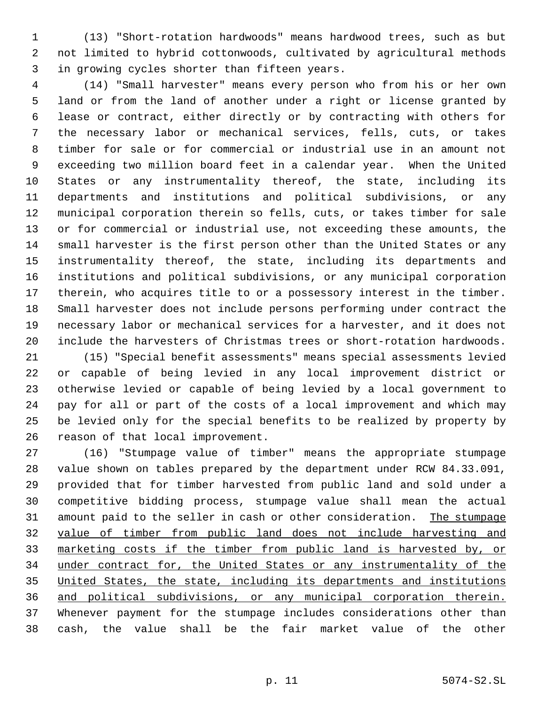(13) "Short-rotation hardwoods" means hardwood trees, such as but not limited to hybrid cottonwoods, cultivated by agricultural methods in growing cycles shorter than fifteen years.

 (14) "Small harvester" means every person who from his or her own land or from the land of another under a right or license granted by lease or contract, either directly or by contracting with others for the necessary labor or mechanical services, fells, cuts, or takes timber for sale or for commercial or industrial use in an amount not exceeding two million board feet in a calendar year. When the United States or any instrumentality thereof, the state, including its departments and institutions and political subdivisions, or any municipal corporation therein so fells, cuts, or takes timber for sale or for commercial or industrial use, not exceeding these amounts, the small harvester is the first person other than the United States or any instrumentality thereof, the state, including its departments and institutions and political subdivisions, or any municipal corporation therein, who acquires title to or a possessory interest in the timber. Small harvester does not include persons performing under contract the necessary labor or mechanical services for a harvester, and it does not include the harvesters of Christmas trees or short-rotation hardwoods.

 (15) "Special benefit assessments" means special assessments levied or capable of being levied in any local improvement district or otherwise levied or capable of being levied by a local government to pay for all or part of the costs of a local improvement and which may be levied only for the special benefits to be realized by property by reason of that local improvement.

 (16) "Stumpage value of timber" means the appropriate stumpage value shown on tables prepared by the department under RCW 84.33.091, provided that for timber harvested from public land and sold under a competitive bidding process, stumpage value shall mean the actual 31 amount paid to the seller in cash or other consideration. The stumpage value of timber from public land does not include harvesting and marketing costs if the timber from public land is harvested by, or under contract for, the United States or any instrumentality of the United States, the state, including its departments and institutions and political subdivisions, or any municipal corporation therein. Whenever payment for the stumpage includes considerations other than cash, the value shall be the fair market value of the other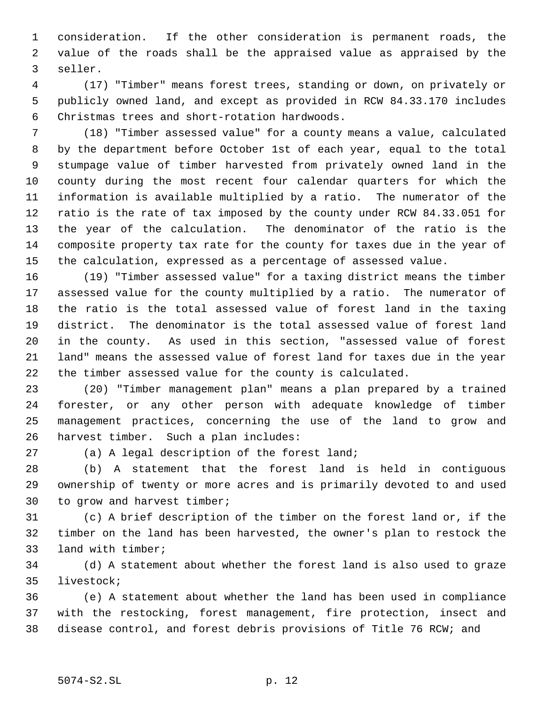consideration. If the other consideration is permanent roads, the value of the roads shall be the appraised value as appraised by the seller.

 (17) "Timber" means forest trees, standing or down, on privately or publicly owned land, and except as provided in RCW 84.33.170 includes Christmas trees and short-rotation hardwoods.

 (18) "Timber assessed value" for a county means a value, calculated by the department before October 1st of each year, equal to the total stumpage value of timber harvested from privately owned land in the county during the most recent four calendar quarters for which the information is available multiplied by a ratio. The numerator of the ratio is the rate of tax imposed by the county under RCW 84.33.051 for the year of the calculation. The denominator of the ratio is the composite property tax rate for the county for taxes due in the year of the calculation, expressed as a percentage of assessed value.

 (19) "Timber assessed value" for a taxing district means the timber assessed value for the county multiplied by a ratio. The numerator of the ratio is the total assessed value of forest land in the taxing district. The denominator is the total assessed value of forest land in the county. As used in this section, "assessed value of forest land" means the assessed value of forest land for taxes due in the year the timber assessed value for the county is calculated.

 (20) "Timber management plan" means a plan prepared by a trained forester, or any other person with adequate knowledge of timber management practices, concerning the use of the land to grow and harvest timber. Such a plan includes:

(a) A legal description of the forest land;

 (b) A statement that the forest land is held in contiguous ownership of twenty or more acres and is primarily devoted to and used to grow and harvest timber;

 (c) A brief description of the timber on the forest land or, if the timber on the land has been harvested, the owner's plan to restock the land with timber;

 (d) A statement about whether the forest land is also used to graze livestock;

 (e) A statement about whether the land has been used in compliance with the restocking, forest management, fire protection, insect and disease control, and forest debris provisions of Title 76 RCW; and